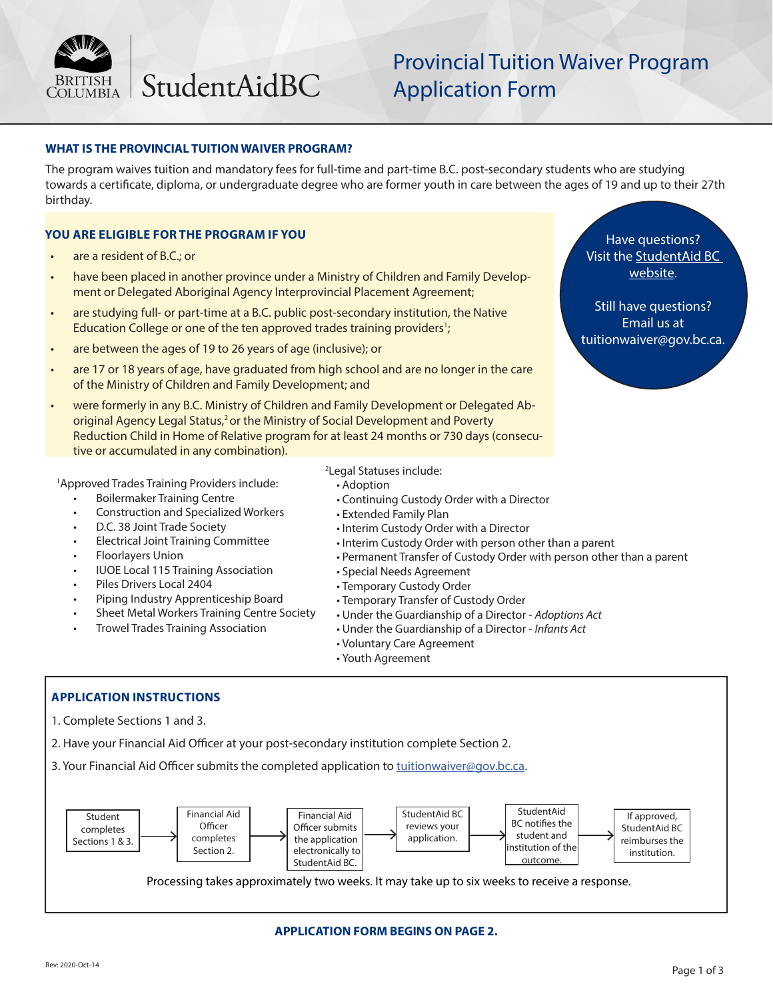

## Provincial Tuition Waiver Program Application Form

### **WHAT IS THE PROVINCIAL TUITION WAIVER PROGRAM?**

The program waives tuition and mandatory fees for full-time and part-time B.C. post-secondary students who are studying towards a certificate, diploma, or undergraduate degree who are former youth in care between the ages of 19 and up to their 27th birthday.

### **YOU ARE ELIGIBLE FOR THE PROGRAM IF YOU**

- are a resident of B.C.; or
- have been placed in another province under a Ministry of Children and Family Development or Delegated Aboriginal Agency Interprovincial Placement Agreement;
- are studying full- or part-time at a B.C. public post-secondary institution, the Native Education College or one of the ten approved trades training providers<sup>1</sup>;
- are between the ages of 19 to 26 years of age (inclusive); or
- are 17 or 18 years of age, have graduated from high school and are no longer in the care of the Ministry of Children and Family Development; and
- were formerly in any B.C. Ministry of Children and Family Development or Delegated Aboriginal Agency Legal Status,<sup>2</sup> or the Ministry of Social Development and Poverty Reduction Child in Home of Relative program for at least 24 months or 730 days (consecutive or accumulated in any combination).

1 Approved Trades Training Providers include:

- Boilermaker Training Centre
- Construction and Specialized Workers
- D.C. 38 Joint Trade Society
- Electrical Joint Training Committee
- Floorlayers Union
- IUOE Local 115 Training Association
- Piles Drivers Local 2404
- Piping Industry Apprenticeship Board
- Sheet Metal Workers Training Centre Society
- Trowel Trades Training Association
- 2 Legal Statuses include:
	- Adoption
	- Continuing Custody Order with a Director
- Extended Family Plan
- Interim Custody Order with a Director
- Interim Custody Order with person other than a parent
- Permanent Transfer of Custody Order with person other than a parent
- Special Needs Agreement
- Temporary Custody Order
- Temporary Transfer of Custody Order
- Under the Guardianship of a Director *Adoptions Act*
- Under the Guardianship of a Director *Infants Act*
- Voluntary Care Agreement
- Youth Agreement

## **APPLICATION INSTRUCTIONS**

1. Complete Sections 1 and 3.

2. Have your Financial Aid Officer at your post-secondary institution complete Section 2.

3. Your Financial Aid Officer submits the completed application to [tuitionwaiver@gov.bc.ca.](mailto:tuitionwaiver@gov.bc.ca)



## **APPLICATION FORM BEGINS ON PAGE 2.**

Have questions? Visit the [StudentAid BC](https://studentaidbc.ca/explore/grants-scholarships/provincial-tuition-waiver-program)  [website](https://studentaidbc.ca/explore/grants-scholarships/provincial-tuition-waiver-program).

Still have questions? Email us at tuitionwaiver@gov.bc.ca.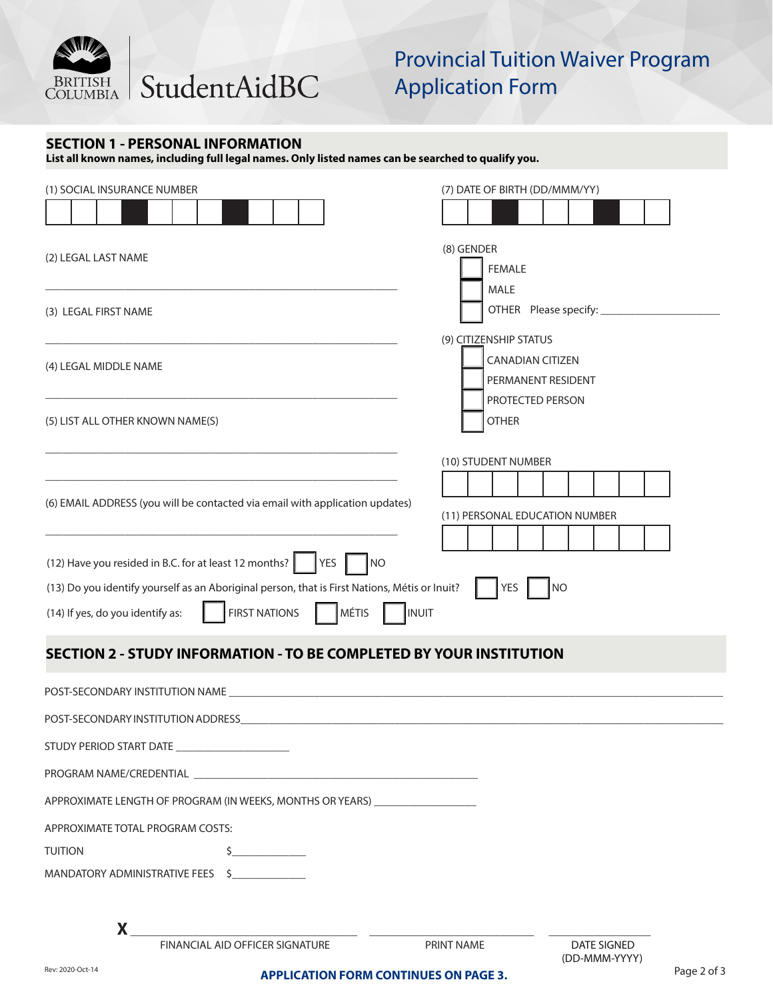

# Provincial Tuition Waiver Program Application Form

## **SECTION 1 - PERSONAL INFORMATION**

**List all known names, including full legal names. Only listed names can be searched to qualify you.**

| (1) SOCIAL INSURANCE NUMBER      |                                                                                                                                                                                                                                       | (7) DATE OF BIRTH (DD/MMM/YY)                                           |                                     |             |
|----------------------------------|---------------------------------------------------------------------------------------------------------------------------------------------------------------------------------------------------------------------------------------|-------------------------------------------------------------------------|-------------------------------------|-------------|
|                                  |                                                                                                                                                                                                                                       |                                                                         |                                     |             |
| (2) LEGAL LAST NAME              |                                                                                                                                                                                                                                       | (8) GENDER<br><b>FEMALE</b><br><b>MALE</b>                              |                                     |             |
| (3) LEGAL FIRST NAME             |                                                                                                                                                                                                                                       |                                                                         |                                     |             |
| (4) LEGAL MIDDLE NAME            |                                                                                                                                                                                                                                       | (9) CITIZENSHIP STATUS<br><b>CANADIAN CITIZEN</b><br>PERMANENT RESIDENT |                                     |             |
|                                  | (5) LIST ALL OTHER KNOWN NAME(S)                                                                                                                                                                                                      | PROTECTED PERSON<br><b>OTHER</b>                                        |                                     |             |
|                                  | (6) EMAIL ADDRESS (you will be contacted via email with application updates)                                                                                                                                                          | (10) STUDENT NUMBER<br>(11) PERSONAL EDUCATION NUMBER                   |                                     |             |
| (14) If yes, do you identify as: | (12) Have you resided in B.C. for at least 12 months? $\vert$  YES  <br>$\overline{\phantom{a}}$ NO<br>(13) Do you identify yourself as an Aboriginal person, that is First Nations, Métis or Inuit?<br><b>FIRST NATIONS</b><br>MÉTIS | YES<br>INUIT                                                            | NO                                  |             |
|                                  | <b>SECTION 2 - STUDY INFORMATION - TO BE COMPLETED BY YOUR INSTITUTION</b>                                                                                                                                                            |                                                                         |                                     |             |
|                                  |                                                                                                                                                                                                                                       |                                                                         |                                     |             |
|                                  | POST-SECONDARY INSTITUTION ADDRESS                                                                                                                                                                                                    |                                                                         |                                     |             |
| STUDY PERIOD START DATE          |                                                                                                                                                                                                                                       |                                                                         |                                     |             |
|                                  | PROGRAM NAME/CREDENTIAL <b>AND INTERNATIONAL SERVICES</b>                                                                                                                                                                             |                                                                         |                                     |             |
|                                  | APPROXIMATE LENGTH OF PROGRAM (IN WEEKS, MONTHS OR YEARS) ______________________                                                                                                                                                      |                                                                         |                                     |             |
|                                  | APPROXIMATE TOTAL PROGRAM COSTS:                                                                                                                                                                                                      |                                                                         |                                     |             |
| <b>TUITION</b>                   |                                                                                                                                                                                                                                       |                                                                         |                                     |             |
|                                  | MANDATORY ADMINISTRATIVE FEES \$                                                                                                                                                                                                      |                                                                         |                                     |             |
| <b>X</b>                         |                                                                                                                                                                                                                                       |                                                                         |                                     |             |
|                                  | FINANCIAL AID OFFICER SIGNATURE                                                                                                                                                                                                       | PRINT NAME                                                              | <b>DATE SIGNED</b><br>(DD-MMM-YYYY) |             |
| Rev: 2020-Oct-14                 | <b>APPLICATION FORM CONTINUES ON PAGE 3.</b>                                                                                                                                                                                          |                                                                         |                                     | Page 2 of 3 |